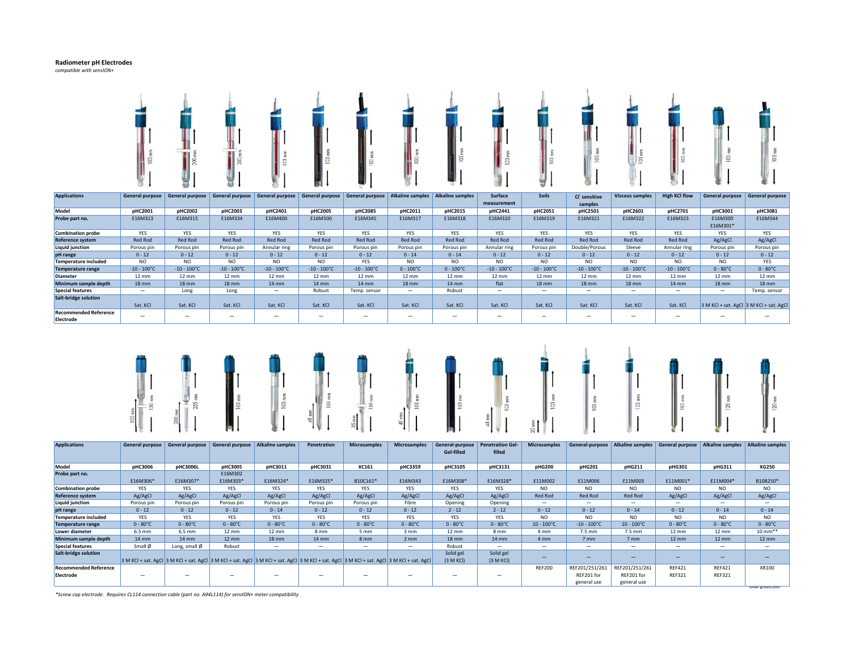### **Radiometer pH Electrodes**

*compatible with sensION+*



| <b>Applications</b>          | General purpose      | General purpose          | <b>General purpose</b> | <b>General purpose</b> | <b>General purpose</b> | <b>General purpose</b> |                          | Alkaline samples   Alkaline samples | <b>Surface</b>           | <b>Soils</b>             | Cl <sup>-</sup> sensitive | <b>Viscous samples</b> | <b>High KCI flow</b>     | <b>General purpose</b>                  | <b>General purpose</b> |
|------------------------------|----------------------|--------------------------|------------------------|------------------------|------------------------|------------------------|--------------------------|-------------------------------------|--------------------------|--------------------------|---------------------------|------------------------|--------------------------|-----------------------------------------|------------------------|
|                              |                      |                          |                        |                        |                        |                        |                          |                                     | measurement              |                          | samples                   |                        |                          |                                         |                        |
| Model                        | pHC2001              | pHC2002                  | pHC2003                | pHC2401                | pHC2005                | pHC2085                | pHC2011                  | pHC2015                             | pHC2441                  | pHC2051                  | pHC2501                   | pHC2601                | pHC2701                  | pHC3001                                 | pHC3081                |
| Probe part no.               | E16M313              | E16M315                  | E16M334                | E16M400                | E16M500                | E16M345                | E16M317                  | E16M318                             | E16M320                  | E16M319                  | E16M321                   | E16M322                | E16M323                  | E16M300                                 | E16M344                |
|                              |                      |                          |                        |                        |                        |                        |                          |                                     |                          |                          |                           |                        |                          | E16M301*                                |                        |
| <b>Combination probe</b>     | <b>YES</b>           | YES                      | <b>YES</b>             | YES                    | YES                    | YES                    | <b>YES</b>               | <b>YES</b>                          | YES                      | <b>YES</b>               | <b>YES</b>                | YES                    | YES                      | YES                                     | <b>YES</b>             |
| Reference system             | <b>Red Rod</b>       | <b>Red Rod</b>           | Red Rod                | Red Rod                | Red Rod                | Red Rod                | Red Rod                  | <b>Red Rod</b>                      | <b>Red Rod</b>           | <b>Red Rod</b>           | <b>Red Rod</b>            | <b>Red Rod</b>         | <b>Red Rod</b>           | Ag/AgCl                                 | Ag/AgCl                |
| <b>Liquid junction</b>       | Porous pin           | Porous pin               | Porous pin             | Annular ring           | Porous pin             | Porous pin             | Porous pin               | Porous pin                          | Annular ring             | Porous pin               | Double/Porous             | Sleeve                 | Annular ring             | Porous pin                              | Porous pin             |
| pH range                     | $0 - 12$             | $0 - 12$                 | $0 - 12$               | $0 - 12$               | $0 - 12$               | $0 - 12$               | $0 - 14$                 | $0 - 14$                            | $0 - 12$                 | $0 - 12$                 | $0 - 12$                  | $0 - 12$               | $0 - 12$                 | $0 - 12$                                | $0 - 12$               |
| <b>Temperature included</b>  | NO.                  | <b>NO</b>                | <b>NO</b>              | NO.                    | N <sub>O</sub>         | <b>YES</b>             | NO.                      | NO.                                 | NO.                      | NO.                      | N <sub>O</sub>            | NO.                    | <b>NO</b>                | <b>NO</b>                               | <b>YES</b>             |
| <b>Temperature range</b>     | $-10 - 100^{\circ}C$ | $-10 - 100^{\circ}$ C    | $-10 - 100^{\circ}C$   | $-10 - 100^{\circ}C$   | $-10 - 100^{\circ}C$   | $-10 - 100^{\circ}C$   | $0 - 100^{\circ}C$       | $0 - 100^{\circ}C$                  | $-10 - 100^{\circ}C$     | $-10 - 100^{\circ}C$     | $-10 - 100^{\circ}C$      | $-10 - 100^{\circ}C$   | $-10 - 100^{\circ}C$     | $0 - 80^{\circ}C$                       | $0 - 80^{\circ}C$      |
| <b>Diameter</b>              | $12 \text{ mm}$      | $12 \text{ mm}$          | $12 \text{ mm}$        | $12 \text{ mm}$        | 12 mm                  | $12 \, \text{mm}$      | $12 \, \text{mm}$        | $12 \text{ mm}$                     | $12 \text{ mm}$          | $12 \text{ mm}$          | $12 \text{ mm}$           | $12 \text{ mm}$        | $12 \text{ mm}$          | $12 \text{ mm}$                         | 12 mm                  |
| Minimum sample depth         | <b>18 mm</b>         | <b>18 mm</b>             | $18 \text{ mm}$        | $14 \, \text{mm}$      | 14 mm                  | $14 \text{ mm}$        | <b>18 mm</b>             | 14 mm                               | flat                     | <b>18 mm</b>             | $18$ mm                   | <b>18 mm</b>           | $14 \, \text{mm}$        | <b>18 mm</b>                            | $18$ mm                |
| <b>Special features</b>      |                      | Long                     | Long                   |                        | Robust                 | Temp. sensor           | $\overline{\phantom{0}}$ | Robust                              | $\overline{\phantom{0}}$ |                          | $\overline{\phantom{0}}$  | —                      | $\overline{\phantom{0}}$ |                                         | Temp. sensor           |
| <b>Salt-bridge solution</b>  |                      |                          |                        |                        |                        |                        |                          |                                     |                          |                          |                           |                        |                          |                                         |                        |
|                              | Sat. KCI             | Sat. KCI                 | Sat. KCI               | Sat. KCI               | Sat. KCI               | Sat. KCl               | Sat. KCl                 | Sat. KCI                            | Sat. KCl                 | Sat. KCl                 | Sat. KCI                  | Sat. KCI               | Sat. KCI                 | 3 M KCl + sat. AgCl 3 M KCl + sat. AgCl |                        |
| <b>Recommended Reference</b> |                      | $\overline{\phantom{0}}$ |                        |                        |                        |                        | $\overline{\phantom{0}}$ | $\overline{\phantom{a}}$            | $\overline{\phantom{0}}$ | $\overline{\phantom{a}}$ |                           | -                      |                          |                                         | -                      |
| Electrode                    |                      |                          |                        |                        |                        |                        |                          |                                     |                          |                          |                           |                        |                          |                                         |                        |













\*\*under ground joint

| <b>Applications</b>          |                   | General purpose General purpose General purpose |                   | <b>Alkaline samples</b>                                                                                                                                         | Penetration       | <b>Microsamples</b>      | <b>Microsamples</b> | General-purpose   | <b>Penetration Gel-</b> | <b>Microsamples</b>      | General-purpose          | <b>Alkaline samples</b>  | General purpose          | Alkaline samples Alkaline samples |                          |
|------------------------------|-------------------|-------------------------------------------------|-------------------|-----------------------------------------------------------------------------------------------------------------------------------------------------------------|-------------------|--------------------------|---------------------|-------------------|-------------------------|--------------------------|--------------------------|--------------------------|--------------------------|-----------------------------------|--------------------------|
|                              |                   |                                                 |                   |                                                                                                                                                                 |                   |                          |                     | Gel-filled        | filled                  |                          |                          |                          |                          |                                   |                          |
|                              |                   |                                                 |                   |                                                                                                                                                                 |                   |                          |                     |                   |                         |                          |                          |                          |                          |                                   |                          |
| Model                        | pHC3006           | pHC3006L                                        | pHC3005           | pHC3011                                                                                                                                                         | pHC3031           | XC161                    | <b>pHC3359</b>      | pHC3105           | pHC3131                 | pHG200                   | <b>pHG201</b>            | pHG211                   | pHG301                   | pHG311                            | <b>XG250</b>             |
| Probe part no.               |                   |                                                 | E16M302           |                                                                                                                                                                 |                   |                          |                     |                   |                         |                          |                          |                          |                          |                                   |                          |
|                              | E16M306*          | E16M307*                                        | E16M303*          | E16M324*                                                                                                                                                        | E16M325*          | B10C161*                 | E16M343             | E16M308*          | E16M328*                | E11M002                  | E11M006                  | E11M003                  | E11M001*                 | E11M004*                          | B10B250*                 |
| <b>Combination probe</b>     | YES               | <b>YES</b>                                      | <b>YES</b>        | <b>YES</b>                                                                                                                                                      | <b>YES</b>        | YES                      | <b>YES</b>          | <b>YES</b>        | <b>YES</b>              | <b>NO</b>                | NO.                      | NO.                      | NO.                      | NO.                               | NO.                      |
| Reference system             | Ag/AgCl           | Ag/AgCl                                         | Ag/AgCl           | Ag/AgCl                                                                                                                                                         | Ag/AgCl           | Ag/AgCl                  | Ag/AgCl             | Ag/AgCl           | Ag/AgCl                 | <b>Red Rod</b>           | <b>Red Rod</b>           | Red Rod                  | Ag/AgCl                  | Ag/AgCl                           | Ag/AgCl                  |
| <b>Liquid junction</b>       | Porous pin        | Porous pin                                      | Porous pin        | Porous pin                                                                                                                                                      | Porous pin        | Porous pin               | Fibre               | Opening           | Opening                 |                          | -                        | $\overline{\phantom{a}}$ | $\overline{\phantom{0}}$ | -                                 |                          |
| pH range                     | $0 - 12$          | $0 - 12$                                        | $0 - 12$          | $0 - 14$                                                                                                                                                        | $0 - 12$          | $0 - 12$                 | $0 - 12$            | $2 - 12$          | $2 - 12$                | $0 - 12$                 | $0 - 12$                 | $0 - 14$                 | $0 - 12$                 | $0 - 14$                          | $0 - 14$                 |
| <b>Temperature included</b>  | <b>YES</b>        | YES                                             | <b>YES</b>        | YES                                                                                                                                                             | <b>YES</b>        | <b>YES</b>               | <b>YES</b>          | YES               | YES                     | N <sub>O</sub>           | NO.                      | NO.                      | NO.                      | NO.                               | NO                       |
| <b>Temperature range</b>     | $0 - 80^{\circ}C$ | $0 - 80^{\circ}C$                               | $0 - 80^{\circ}C$ | $0 - 80^{\circ}C$                                                                                                                                               | $0 - 80^{\circ}C$ | $0 - 80^{\circ}C$        | $0 - 80^{\circ}C$   | $0 - 80^{\circ}C$ | $0 - 80^{\circ}C$       | $10 - 100^{\circ}C$      | $-10 - 100^{\circ}C$     | $10 - 100^{\circ}$ C     | $0 - 80^{\circ}C$        | $0 - 80^{\circ}C$                 | $0 - 80^{\circ}C$        |
| Lower diameter               | 6.5 mm            | 6.5 mm                                          | $12 \, \text{mm}$ | $12 \text{ mm}$                                                                                                                                                 | 8 mm              | 5 mm                     | 3 mm                | 12 mm             | 8 mm                    | 4 mm                     | 7.5 mm                   | 7.5 mm                   | $12 \, \text{mm}$        | $12 \text{ mm}$                   | $10 \, \text{mm}^{**}$   |
| Minimum sample depth         | $14 \text{ mm}$   | 14 mm                                           | $12 \, \text{mm}$ | $18$ mm                                                                                                                                                         | $14 \text{ mm}$   | 8 <sub>mm</sub>          | $2 \, \text{mm}$    | <b>18 mm</b>      | <b>14 mm</b>            | 4 <sub>mm</sub>          | 7 <sub>mm</sub>          | 7 <sub>mm</sub>          | $12 \, \text{mm}$        | $12 \, \text{mm}$                 | $12 \, \text{mm}$        |
| <b>Special features</b>      | Small Ø           | Long, small $\emptyset$                         | Robust            |                                                                                                                                                                 |                   | $\overline{\phantom{0}}$ | -                   | Robust            | -                       |                          | $\overline{\phantom{0}}$ | $\overline{\phantom{0}}$ |                          | -                                 |                          |
| Salt-bridge solution         |                   |                                                 |                   |                                                                                                                                                                 |                   |                          |                     | Solid gel         | Solid gel               |                          |                          |                          |                          |                                   |                          |
|                              |                   |                                                 |                   | 3 M KCl + sat. AgCl 3 M KCl + sat. AgCl 3 M KCl + sat. AgCl 3 M KCl + sat. AgCl 3 M KCl + sat. AgCl 3 M KCl + sat. AgCl 3 M KCl + sat. AgCl 3 M KCl + sat. AgCl |                   |                          |                     | (3 M KCl)         | (3 M KCl)               | $\overline{\phantom{0}}$ | $-$                      | $\overline{\phantom{0}}$ | -                        | $\overline{\phantom{0}}$          | $\overline{\phantom{0}}$ |
| <b>Recommended Reference</b> |                   |                                                 |                   |                                                                                                                                                                 |                   |                          |                     |                   |                         | <b>REF200</b>            | REF201/251/261           | REF201/251/261           | <b>REF421</b>            | <b>REF421</b>                     | XR100                    |
| Electrode                    |                   |                                                 |                   |                                                                                                                                                                 |                   | -                        |                     | -                 |                         |                          | REF201 for               | REF201 for               | <b>REF321</b>            | <b>REF321</b>                     |                          |
|                              |                   |                                                 |                   |                                                                                                                                                                 |                   |                          |                     |                   |                         |                          | general use              | general use              |                          |                                   |                          |

*\*Screw cap electrode. Requires CL114 connection cable (part no. A94L114) for sensION+ meter compatibility*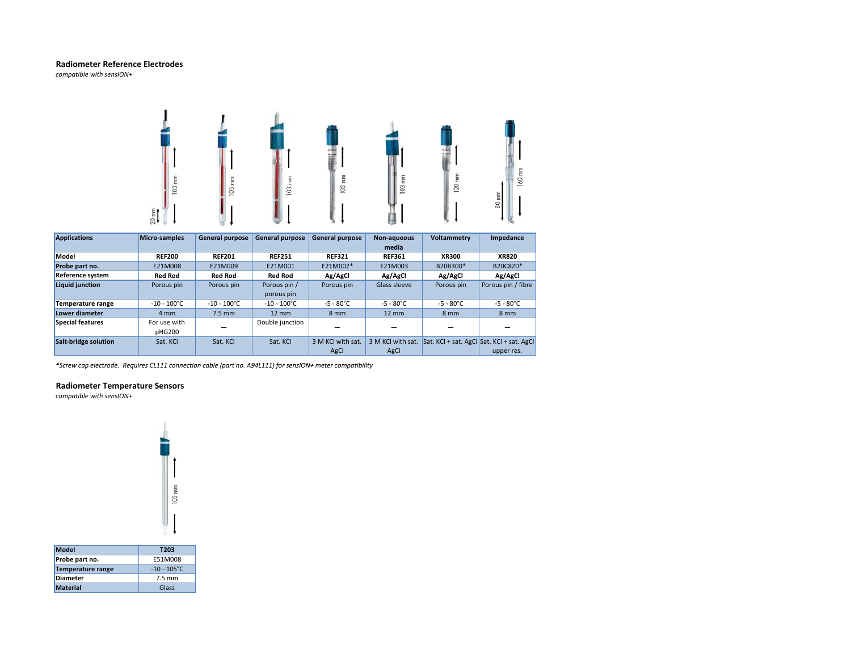# **Radiometer Reference Electrodes**

*compatible with sensION+*



| <b>Applications</b>     | Micro-samples         | <b>General purpose</b> | <b>General purpose</b> | <b>General purpose</b> | Non-aqueous         | <b>Voltammetry</b>                        | Impedance           |
|-------------------------|-----------------------|------------------------|------------------------|------------------------|---------------------|-------------------------------------------|---------------------|
|                         |                       |                        |                        |                        | media               |                                           |                     |
| Model                   | <b>REF200</b>         | <b>REF201</b>          | <b>REF251</b>          | <b>REF321</b>          | <b>REF361</b>       | <b>XR300</b>                              | <b>XR820</b>        |
| Probe part no.          | E21M008               | E21M009                | E21M001                | E21M002*               | E21M003             | B20B300*                                  | B20C820*            |
| Reference system        | <b>Red Rod</b>        | <b>Red Rod</b>         | <b>Red Rod</b>         | Ag/AgCl                | Ag/AgCl             | Ag/AgCl                                   | Ag/AgCl             |
| Liquid junction         | Porous pin            | Porous pin             | Porous pin /           | Porous pin             | Glass sleeve        | Porous pin                                | Porous pin / fibre  |
|                         |                       |                        | porous pin             |                        |                     |                                           |                     |
| Temperature range       | $-10 - 100^{\circ}$ C | $-10 - 100^{\circ}$ C  | $-10 - 100^{\circ}C$   | $-5 - 80^{\circ}$ C    | $-5 - 80^{\circ}$ C | $-5 - 80^{\circ}$ C                       | $-5 - 80^{\circ}$ C |
| Lower diameter          | 4 mm                  | $7.5$ mm               | $12 \, \text{mm}$      | 8 mm                   | $12 \, \text{mm}$   | 8 mm                                      | 8 <sub>mm</sub>     |
| <b>Special features</b> | For use with          |                        | Double junction        |                        |                     |                                           |                     |
|                         | pHG200                |                        |                        |                        |                     |                                           |                     |
| Salt-bridge solution    | Sat. KCI              | Sat. KCl               | Sat. KCl               | 3 M KCI with sat.      | 3 M KCl with sat.   | Sat. KCl + sat. AgCl Sat. KCl + sat. AgCl |                     |
|                         |                       |                        |                        | AgCl                   | AgCl                |                                           | upper res.          |

*\*Screw cap electrode electrode. Requires CL111 connection cable (part no. A94L111) for sensION+ meter compatibility*

# **Radiometer Temperature Sensors**

*compatible with sensION+*

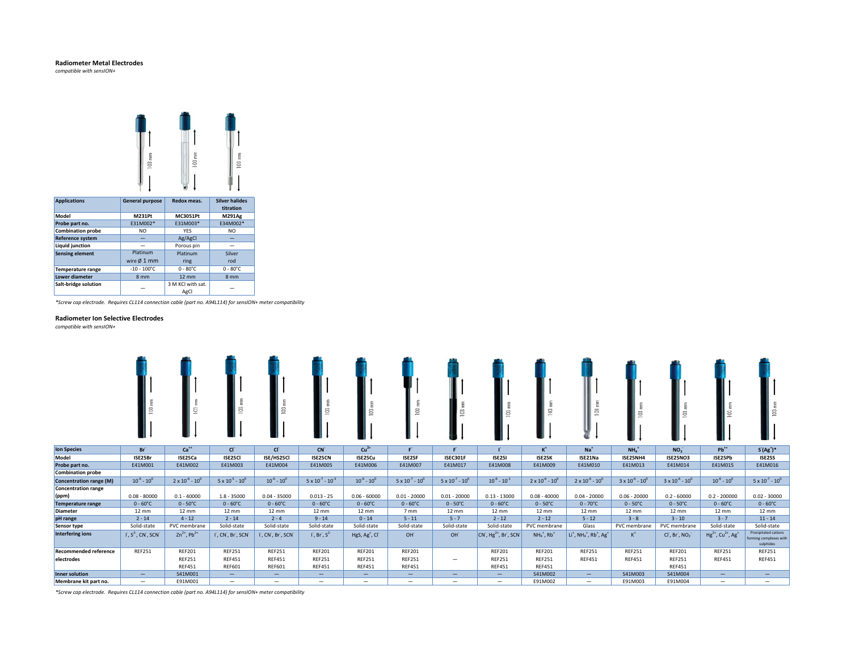## **Radiometer Metal Electrodes**

*compatible with sensION+*



| <b>Applications</b>      | <b>General purpose</b> | Redox meas.        | <b>Silver halides</b><br>titration |
|--------------------------|------------------------|--------------------|------------------------------------|
| Model                    | M231Pt                 | MC3051Pt           | <b>M291Ag</b>                      |
| Probe part no.           | E31M002*               | E31M003*           | E34M002*                           |
| <b>Combination probe</b> | NO.                    | <b>YFS</b>         | NO.                                |
| <b>Reference system</b>  |                        | Ag/AgCl            |                                    |
| <b>Liquid junction</b>   |                        | Porous pin         |                                    |
| <b>Sensing element</b>   | Platinum               | Platinum           | Silver                             |
|                          | wire Ø 1 mm            | ring               | rod                                |
| <b>Temperature range</b> | $-10 - 100^{\circ}$ C  | $0 - 80^{\circ}$ C | $0 - 80^{\circ}$ C                 |
| Lower diameter           | 8 <sub>mm</sub>        | $12 \text{ mm}$    | 8 mm                               |
| Salt-bridge solution     |                        | 3 M KCl with sat.  |                                    |
|                          |                        | AgCl               |                                    |

*\*Screw cap electrode. Requires CL114 connection cable (part no. A94L114) for sensION+ meter compatibility*

#### **Radiometer Ion Selective Electrodes**

*compatible with sensION+*

|                                     |                            |                              |                             | g                  |                              | 8                                      |                             |                             | S                                                            |                             |                                                                          |                             | 8                           |                                                |                                                                    |
|-------------------------------------|----------------------------|------------------------------|-----------------------------|--------------------|------------------------------|----------------------------------------|-----------------------------|-----------------------------|--------------------------------------------------------------|-----------------------------|--------------------------------------------------------------------------|-----------------------------|-----------------------------|------------------------------------------------|--------------------------------------------------------------------|
| <b>Ion Species</b>                  | Br <sup>*</sup>            | $Ca++$                       | cr                          | cr                 | $CN^2$                       | $Cu2+$                                 | F                           |                             |                                                              | $K^+$                       | $Na+$                                                                    | $NH4+$                      | NO <sub>3</sub>             | $Pb^{++}$                                      | $S(Ag^+)^*$                                                        |
| Model                               | ISE25Br                    | ISE25Ca                      | <b>ISE25CI</b>              | ISE/HS25Cl         | ISE25CN                      | ISE25Cu                                | ISE25F                      | ISEC301F                    | <b>ISE251</b>                                                | ISE25K                      | ISE21Na                                                                  | ISE25NH4                    | <b>ISE25NO3</b>             | ISE25Pb                                        | <b>ISE25S</b>                                                      |
| Probe part no.                      | E41M001                    | E41M002                      | E41M003                     | E41M004            | E41M005                      | E41M006                                | E41M007                     | E41M017                     | E41M008                                                      | E41M009                     | E41M010                                                                  | E41M013                     | E41M014                     | E41M015                                        | E41M016                                                            |
| <b>Combination probe</b>            |                            |                              |                             |                    |                              |                                        |                             |                             |                                                              |                             |                                                                          |                             |                             |                                                |                                                                    |
| <b>Concentration range (M)</b>      | $10^{6} - 10^{0}$          | $2 \times 10^{-6} - 10^{0}$  | $5 \times 10^{-5} - 10^{0}$ | $10^{-6} - 10^{0}$ | $5 \times 10^{-7} - 10^{-3}$ | $10^{-6} - 10^{0}$                     | $5 \times 10^{-7} - 10^{0}$ | $5 \times 10^{-7} - 10^{0}$ | $10^{-6} - 10^{-1}$                                          | $2 \times 10^{-6} - 10^{0}$ | $2 \times 10^{-6} - 10^{0}$                                              | $3 \times 10^{-6} - 10^{0}$ | $3 \times 10^{-6} - 10^{0}$ | $10^{-6} - 10^{0}$                             | $5 \times 10^{-7} - 10^{0}$                                        |
| <b>Concentration range</b><br>(ppm) | $0.08 - 80000$             | $0.1 - 40000$                | $1.8 - 35000$               | $0.04 - 35000$     | $0.013 - 25$                 | $0.06 - 60000$                         | $0.01 - 20000$              | $0.01 - 20000$              | $0.13 - 13000$                                               | $0.08 - 40000$              | $0.04 - 20000$                                                           | $0.06 - 20000$              | $0.2 - 60000$               | $0.2 - 200000$                                 | $0.02 - 30000$                                                     |
| Temperature range                   | $0 - 60^{\circ}C$          | $0 - 50^{\circ}$ C           | $0 - 60^{\circ}$ C          | $0 - 60^{\circ}$ C | $0 - 60^{\circ}C$            | $0 - 60^{\circ}$ C                     | $0 - 60^{\circ}C$           | $0 - 50^{\circ}$ C          | $0 - 60^{\circ}$ C                                           | $0 - 50^{\circ}$ C          | $0 - 70^{\circ}$ C                                                       | $0 - 50^{\circ}$ C          | $0 - 50^{\circ}C$           | $0 - 60^{\circ}C$                              | $0 - 60^{\circ}C$                                                  |
| <b>Diameter</b>                     | $12 \text{ mm}$            | 12 mm                        | $12 \text{ mm}$             | $12 \text{ mm}$    | $12 \text{ mm}$              | 12 mm                                  | 7 mm                        | $12 \text{ mm}$             | $12 \text{ mm}$                                              | $12 \text{ mm}$             | $12 \text{ mm}$                                                          | $12 \text{ mm}$             | $12 \text{ mm}$             | $12 \text{ mm}$                                | $12 \text{ mm}$                                                    |
| pH range                            | $2 - 14$                   | $4 - 12$                     | $2 - 14$                    | $2 - 4$            | $9 - 14$                     | $0 - 14$                               | $5 - 11$                    | $5 - 7$                     | $2 - 12$                                                     | $2 - 12$                    | $5 - 12$                                                                 | $3 - 8$                     | $3 - 10$                    | $3 - 7$                                        | $11 - 14$                                                          |
| Sensor type                         | Solid-state                | PVC membrane                 | Solid-state                 | Solid-state        | Solid-state                  | Solid-state                            | Solid-state                 | Solid-state                 | Solid-state                                                  | PVC membrane                | Glass                                                                    | PVC membrane                | PVC membrane                | Solid-state                                    | Solid-state                                                        |
| <b>Interfering ions</b>             | $\Gamma$ , $S^2$ , CN, SCN | $Zn^{2+}$ , Pb <sup>2+</sup> | I, CN, Br, SCN              | I, CN, Br, SCN     | $\int$ , Br, $S^2$           | HgS, Ag <sup>+</sup> , Cl <sup>-</sup> | OH                          | OH                          | $CN$ , Hg <sup>2+</sup> , Br <sup>2</sup> , SCN <sup>-</sup> | $NH4+, Rb+$                 | $Li+$ , NH <sub>4</sub> <sup>+</sup> , Rb <sup>+</sup> , Ag <sup>+</sup> | $K^+$                       | $CIr$ , Br, NO <sub>2</sub> | $Hg^{2+}$ , Cu <sup>2+</sup> , Ag <sup>+</sup> | <b>Precipitated cations</b><br>forming complexes with<br>sulphides |
| <b>Recommended reference</b>        | <b>REF251</b>              | <b>REF201</b>                | <b>REF251</b>               | <b>REF251</b>      | <b>REF201</b>                | <b>REF201</b>                          | <b>REF201</b>               |                             | <b>REF201</b>                                                | <b>REF201</b>               | <b>REF251</b>                                                            | <b>REF251</b>               | <b>REF201</b>               | <b>REF251</b>                                  | <b>REF251</b>                                                      |
| electrodes                          |                            | <b>REF251</b>                | <b>REF451</b>               | <b>REF451</b>      | <b>REF251</b>                | <b>REF251</b>                          | <b>REF251</b>               | $\overline{\phantom{0}}$    | <b>REF251</b>                                                | <b>REF251</b>               | <b>REF451</b>                                                            | <b>REF451</b>               | <b>REF251</b>               | <b>REF451</b>                                  | <b>REF451</b>                                                      |
|                                     |                            | <b>REF451</b>                | <b>REF601</b>               | <b>REF601</b>      | <b>REF451</b>                | <b>REF451</b>                          | <b>REF451</b>               |                             | <b>REF451</b>                                                | <b>REF451</b>               |                                                                          |                             | <b>REF451</b>               |                                                |                                                                    |
| <b>Inner solution</b>               | $-$                        | S41M001                      | $-$                         | $-$                | $-$                          | $\qquad \qquad -$                      | $-$                         | -                           | $-$                                                          | S41M002                     | $-$                                                                      | S41M003                     | S41M004                     | $\overline{\phantom{0}}$                       | $-$                                                                |
| Membrane kit part no.               | $\overline{\phantom{0}}$   | E91M001                      | —                           | $-$                | $\overline{\phantom{0}}$     | $\overline{\phantom{m}}$               | $\overline{\phantom{0}}$    | -                           | $\overline{\phantom{0}}$                                     | E91M002                     | $-$                                                                      | E91M003                     | E91M004                     | $\overline{\phantom{0}}$                       |                                                                    |

*\*Screw cap electrode. Requires CL114 connection cable (part no. A94L114) for sensION+ meter compatibility*